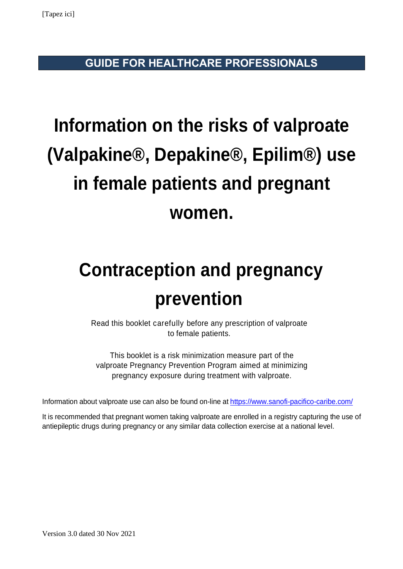**GUIDE FOR HEALTHCARE PROFESSIONALS**

# **Information on the risks of valproate (Valpakine®, Depakine®, Epilim®) use in female patients and pregnant women.**

# **Contraception and pregnancy prevention**

Read this booklet carefully before any prescription of valproate to female patients.

This booklet is a risk minimization measure part of the valproate Pregnancy Prevention Program aimed at minimizing pregnancy exposure during treatment with valproate.

Information about valproate use can also be found on-line at<https://www.sanofi-pacifico-caribe.com/>

It is recommended that pregnant women taking valproate are enrolled in a registry capturing the use of antiepileptic drugs during pregnancy or any similar data collection exercise at a national level.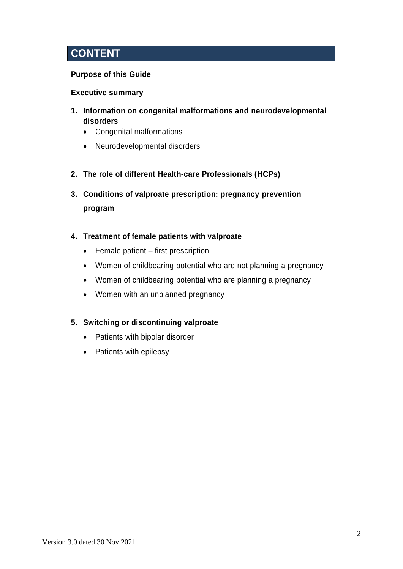# **CONTENT**

# **Purpose of this Guide**

## **Executive summary**

- **1. Information on congenital malformations and neurodevelopmental disorders**
	- Congenital malformations
	- Neurodevelopmental disorders
- **2. The role of different Health-care Professionals (HCPs)**
- **3. Conditions of valproate prescription: pregnancy prevention program**
- **4. Treatment of female patients with valproate**
	- Female patient first prescription
	- Women of childbearing potential who are not planning a pregnancy
	- Women of childbearing potential who are planning a pregnancy
	- Women with an unplanned pregnancy

## **5. Switching or discontinuing valproate**

- Patients with bipolar disorder
- Patients with epilepsy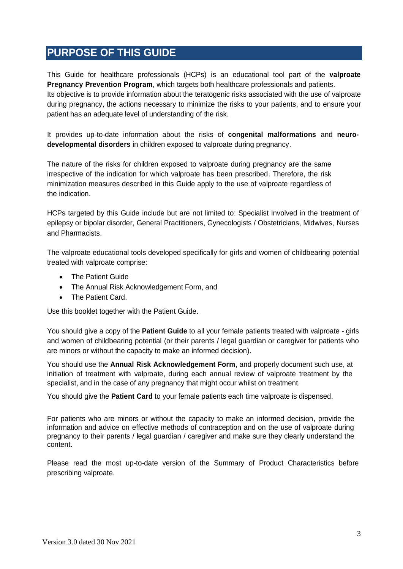# **PURPOSE OF THIS GUIDE**

This Guide for healthcare professionals (HCPs) is an educational tool part of the **valproate Pregnancy Prevention Program**, which targets both healthcare professionals and patients. Its objective is to provide information about the teratogenic risks associated with the use of valproate during pregnancy, the actions necessary to minimize the risks to your patients, and to ensure your patient has an adequate level of understanding of the risk.

It provides up-to-date information about the risks of **congenital malformations** and **neurodevelopmental disorders** in children exposed to valproate during pregnancy.

The nature of the risks for children exposed to valproate during pregnancy are the same irrespective of the indication for which valproate has been prescribed. Therefore, the risk minimization measures described in this Guide apply to the use of valproate regardless of the indication.

HCPs targeted by this Guide include but are not limited to: Specialist involved in the treatment of epilepsy or bipolar disorder, General Practitioners, Gynecologists / Obstetricians, Midwives, Nurses and Pharmacists.

The valproate educational tools developed specifically for girls and women of childbearing potential treated with valproate comprise:

- The Patient Guide
- The Annual Risk Acknowledgement Form, and
- The Patient Card.

Use this booklet together with the Patient Guide.

You should give a copy of the **Patient Guide** to all your female patients treated with valproate - girls and women of childbearing potential (or their parents / legal guardian or caregiver for patients who are minors or without the capacity to make an informed decision).

You should use the **Annual Risk Acknowledgement Form**, and properly document such use, at initiation of treatment with valproate, during each annual review of valproate treatment by the specialist, and in the case of any pregnancy that might occur whilst on treatment.

You should give the **Patient Card** to your female patients each time valproate is dispensed.

For patients who are minors or without the capacity to make an informed decision, provide the information and advice on effective methods of contraception and on the use of valproate during pregnancy to their parents / legal guardian / caregiver and make sure they clearly understand the content.

Please read the most up-to-date version of the Summary of Product Characteristics before prescribing valproate.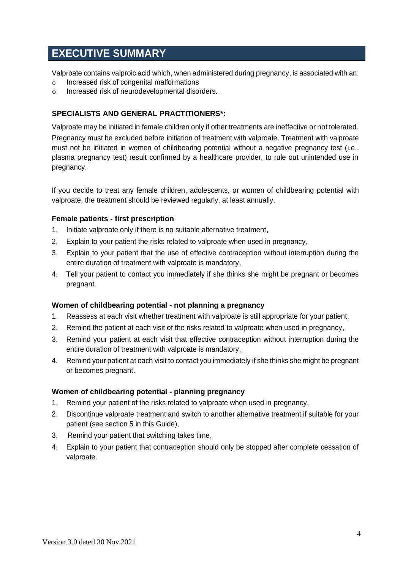# **EXECUTIVE SUMMARY**

Valproate contains valproic acid which, when administered during pregnancy, is associated with an:

- o Increased risk of congenital malformations
- o Increased risk of neurodevelopmental disorders.

## **SPECIALISTS AND GENERAL PRACTITIONERS\*:**

Valproate may be initiated in female children only if other treatments are ineffective or not tolerated. Pregnancy must be excluded before initiation of treatment with valproate. Treatment with valproate must not be initiated in women of childbearing potential without a negative pregnancy test (i.e., plasma pregnancy test) result confirmed by a healthcare provider, to rule out unintended use in pregnancy.

If you decide to treat any female children, adolescents, or women of childbearing potential with valproate, the treatment should be reviewed regularly, at least annually.

#### **Female patients - first prescription**

- 1. Initiate valproate only if there is no suitable alternative treatment,
- 2. Explain to your patient the risks related to valproate when used in pregnancy,
- 3. Explain to your patient that the use of effective contraception without interruption during the entire duration of treatment with valproate is mandatory,
- 4. Tell your patient to contact you immediately if she thinks she might be pregnant or becomes pregnant.

#### **Women of childbearing potential - not planning a pregnancy**

- 1. Reassess at each visit whether treatment with valproate is still appropriate for your patient,
- 2. Remind the patient at each visit of the risks related to valproate when used in pregnancy,
- 3. Remind your patient at each visit that effective contraception without interruption during the entire duration of treatment with valproate is mandatory,
- 4. Remind your patient at each visit to contact you immediately if she thinks she might be pregnant or becomes pregnant.

#### **Women of childbearing potential - planning pregnancy**

- 1. Remind your patient of the risks related to valproate when used in pregnancy,
- 2. Discontinue valproate treatment and switch to another alternative treatment if suitable for your patient (see section 5 in this Guide),
- 3. Remind your patient that switching takes time,
- 4. Explain to your patient that contraception should only be stopped after complete cessation of valproate.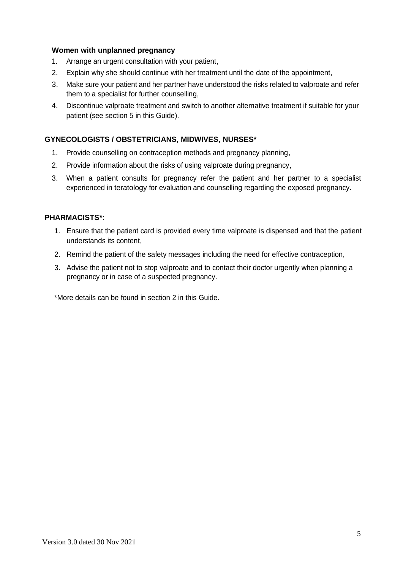#### **Women with unplanned pregnancy**

- 1. Arrange an urgent consultation with your patient,
- 2. Explain why she should continue with her treatment until the date of the appointment,
- 3. Make sure your patient and her partner have understood the risks related to valproate and refer them to a specialist for further counselling,
- 4. Discontinue valproate treatment and switch to another alternative treatment if suitable for your patient (see section 5 in this Guide).

#### **GYNECOLOGISTS / OBSTETRICIANS, MIDWIVES, NURSES\***

- 1. Provide counselling on contraception methods and pregnancy planning,
- 2. Provide information about the risks of using valproate during pregnancy,
- 3. When a patient consults for pregnancy refer the patient and her partner to a specialist experienced in teratology for evaluation and counselling regarding the exposed pregnancy.

#### **PHARMACISTS\***:

- 1. Ensure that the patient card is provided every time valproate is dispensed and that the patient understands its content,
- 2. Remind the patient of the safety messages including the need for effective contraception,
- 3. Advise the patient not to stop valproate and to contact their doctor urgently when planning a pregnancy or in case of a suspected pregnancy.

\*More details can be found in section 2 in this Guide.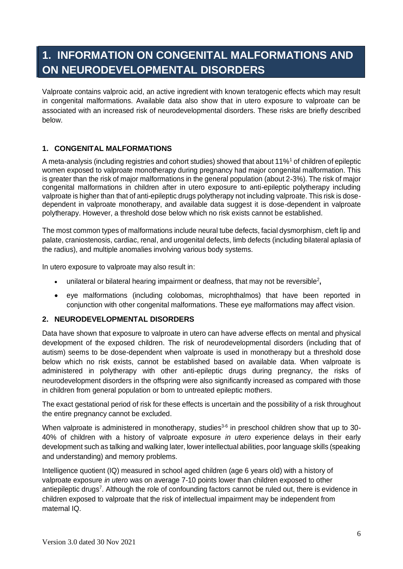# **1. INFORMATION ON CONGENITAL MALFORMATIONS AND ON NEURODEVELOPMENTAL DISORDERS**

Valproate contains valproic acid, an active ingredient with known teratogenic effects which may result in congenital malformations. Available data also show that in utero exposure to valproate can be associated with an increased risk of neurodevelopmental disorders. These risks are briefly described below.

# **1. CONGENITAL MALFORMATIONS**

A meta-analysis (including registries and cohort studies) showed that about 11%<sup>1</sup> of children of epileptic women exposed to valproate monotherapy during pregnancy had major congenital malformation. This is greater than the risk of major malformations in the general population (about 2-3%). The risk of major congenital malformations in children after in utero exposure to anti-epileptic polytherapy including valproate is higher than that of anti-epileptic drugs polytherapy not including valproate. This risk is dosedependent in valproate monotherapy, and available data suggest it is dose-dependent in valproate polytherapy. However, a threshold dose below which no risk exists cannot be established.

The most common types of malformations include neural tube defects, facial dysmorphism, cleft lip and palate, craniostenosis, cardiac, renal, and urogenital defects, limb defects (including bilateral aplasia of the radius), and multiple anomalies involving various body systems.

In utero exposure to valproate may also result in:

- unilateral or bilateral hearing impairment or deafness, that may not be reversible<sup>2</sup>,
- eye malformations (including colobomas, microphthalmos) that have been reported in conjunction with other congenital malformations. These eye malformations may affect vision.

#### **2. NEURODEVELOPMENTAL DISORDERS**

Data have shown that exposure to valproate in utero can have adverse effects on mental and physical development of the exposed children. The risk of neurodevelopmental disorders (including that of autism) seems to be dose-dependent when valproate is used in monotherapy but a threshold dose below which no risk exists, cannot be established based on available data. When valproate is administered in polytherapy with other anti-epileptic drugs during pregnancy, the risks of neurodevelopment disorders in the offspring were also significantly increased as compared with those in children from general population or born to untreated epileptic mothers.

The exact gestational period of risk for these effects is uncertain and the possibility of a risk throughout the entire pregnancy cannot be excluded.

When valproate is administered in monotherapy, studies<sup>3-6</sup> in preschool children show that up to 30-40% of children with a history of valproate exposure *in utero* experience delays in their early development such as talking and walking later, lower intellectual abilities, poor language skills (speaking and understanding) and memory problems.

Intelligence quotient (IQ) measured in school aged children (age 6 years old) with a history of valproate exposure *in utero* was on average 7-10 points lower than children exposed to other antiepileptic drugs<sup>7</sup>. Although the role of confounding factors cannot be ruled out, there is evidence in children exposed to valproate that the risk of intellectual impairment may be independent from maternal IQ.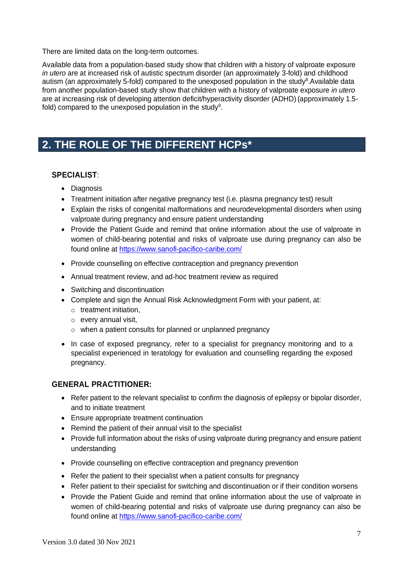There are limited data on the long-term outcomes.

Available data from a population-based study show that children with a history of valproate exposure *in utero* are at increased risk of autistic spectrum disorder (an approximately 3-fold) and childhood autism (an approximately 5-fold) compared to the unexposed population in the study<sup>8</sup>.Available data from another population-based study show that children with a history of valproate exposure *in utero* are at increasing risk of developing attention deficit/hyperactivity disorder (ADHD) (approximately 1.5 fold) compared to the unexposed population in the study<sup>9</sup>.

# **2. THE ROLE OF THE DIFFERENT HCPs\***

## **SPECIALIST**:

- Diagnosis
- Treatment initiation after negative pregnancy test (i.e. plasma pregnancy test) result
- Explain the risks of congenital malformations and neurodevelopmental disorders when using valproate during pregnancy and ensure patient understanding
- Provide the Patient Guide and remind that online information about the use of valproate in women of child-bearing potential and risks of valproate use during pregnancy can also be found online at<https://www.sanofi-pacifico-caribe.com/>
- Provide counselling on effective contraception and pregnancy prevention
- Annual treatment review, and ad-hoc treatment review as required
- Switching and discontinuation
- Complete and sign the Annual Risk Acknowledgment Form with your patient, at:
	- o treatment initiation,
	- o every annual visit,
	- o when a patient consults for planned or unplanned pregnancy
- In case of exposed pregnancy, refer to a specialist for pregnancy monitoring and to a specialist experienced in teratology for evaluation and counselling regarding the exposed pregnancy.

# **GENERAL PRACTITIONER:**

- Refer patient to the relevant specialist to confirm the diagnosis of epilepsy or bipolar disorder, and to initiate treatment
- Ensure appropriate treatment continuation
- Remind the patient of their annual visit to the specialist
- Provide full information about the risks of using valproate during pregnancy and ensure patient understanding
- Provide counselling on effective contraception and pregnancy prevention
- Refer the patient to their specialist when a patient consults for pregnancy
- Refer patient to their specialist for switching and discontinuation or if their condition worsens
- Provide the Patient Guide and remind that online information about the use of valproate in women of child-bearing potential and risks of valproate use during pregnancy can also be found online at<https://www.sanofi-pacifico-caribe.com/>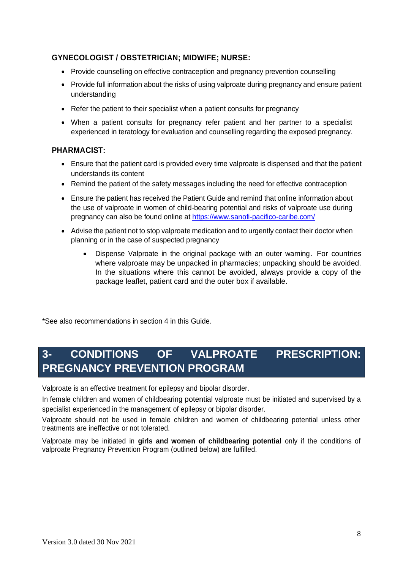# **GYNECOLOGIST / OBSTETRICIAN; MIDWIFE; NURSE:**

- Provide counselling on effective contraception and pregnancy prevention counselling
- Provide full information about the risks of using valproate during pregnancy and ensure patient understanding
- Refer the patient to their specialist when a patient consults for pregnancy
- When a patient consults for pregnancy refer patient and her partner to a specialist experienced in teratology for evaluation and counselling regarding the exposed pregnancy.

## **PHARMACIST:**

- Ensure that the patient card is provided every time valproate is dispensed and that the patient understands its content
- Remind the patient of the safety messages including the need for effective contraception
- Ensure the patient has received the Patient Guide and remind that online information about the use of valproate in women of child-bearing potential and risks of valproate use during pregnancy can also be found online at<https://www.sanofi-pacifico-caribe.com/>
- Advise the patient not to stop valproate medication and to urgently contact their doctor when planning or in the case of suspected pregnancy
	- Dispense Valproate in the original package with an outer warning. For countries where valproate may be unpacked in pharmacies; unpacking should be avoided. In the situations where this cannot be avoided, always provide a copy of the package leaflet, patient card and the outer box if available.

\*See also recommendations in section 4 in this Guide.

# **3- CONDITIONS OF VALPROATE PRESCRIPTION: PREGNANCY PREVENTION PROGRAM**

Valproate is an effective treatment for epilepsy and bipolar disorder.

In female children and women of childbearing potential valproate must be initiated and supervised by a specialist experienced in the management of epilepsy or bipolar disorder.

Valproate should not be used in female children and women of childbearing potential unless other treatments are ineffective or not tolerated.

Valproate may be initiated in **girls and women of childbearing potential** only if the conditions of valproate Pregnancy Prevention Program (outlined below) are fulfilled.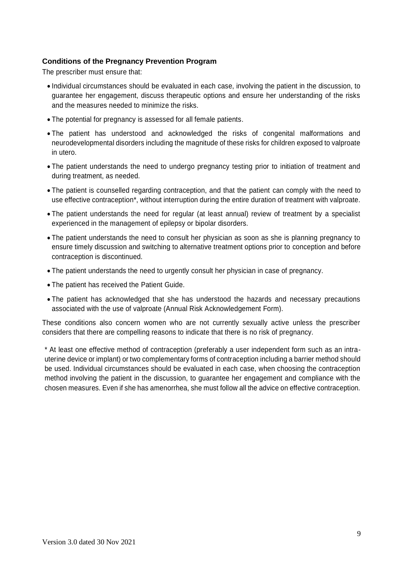#### **Conditions of the Pregnancy Prevention Program**

The prescriber must ensure that:

- Individual circumstances should be evaluated in each case, involving the patient in the discussion, to guarantee her engagement, discuss therapeutic options and ensure her understanding of the risks and the measures needed to minimize the risks.
- The potential for pregnancy is assessed for all female patients.
- The patient has understood and acknowledged the risks of congenital malformations and neurodevelopmental disorders including the magnitude of these risks for children exposed to valproate in utero.
- The patient understands the need to undergo pregnancy testing prior to initiation of treatment and during treatment, as needed.
- The patient is counselled regarding contraception, and that the patient can comply with the need to use effective contraception\*, without interruption during the entire duration of treatment with valproate.
- The patient understands the need for regular (at least annual) review of treatment by a specialist experienced in the management of epilepsy or bipolar disorders.
- The patient understands the need to consult her physician as soon as she is planning pregnancy to ensure timely discussion and switching to alternative treatment options prior to conception and before contraception is discontinued.
- The patient understands the need to urgently consult her physician in case of pregnancy.
- The patient has received the Patient Guide.
- The patient has acknowledged that she has understood the hazards and necessary precautions associated with the use of valproate (Annual Risk Acknowledgement Form).

These conditions also concern women who are not currently sexually active unless the prescriber considers that there are compelling reasons to indicate that there is no risk of pregnancy.

\* At least one effective method of contraception (preferably a user independent form such as an intrauterine device or implant) or two complementary forms of contraception including a barrier method should be used. Individual circumstances should be evaluated in each case, when choosing the contraception method involving the patient in the discussion, to guarantee her engagement and compliance with the chosen measures. Even if she has amenorrhea, she must follow all the advice on effective contraception.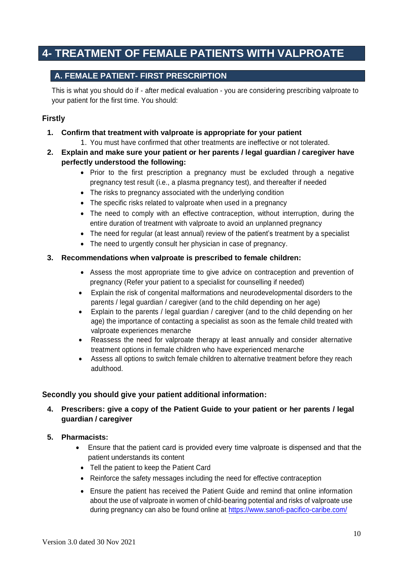# **4- TREATMENT OF FEMALE PATIENTS WITH VALPROATE**

# **A. FEMALE PATIENT- FIRST PRESCRIPTION**

This is what you should do if - after medical evaluation - you are considering prescribing valproate to your patient for the first time. You should:

# **Firstly**

- **1. Confirm that treatment with valproate is appropriate for your patient** 
	- 1. You must have confirmed that other treatments are ineffective or not tolerated.
- **2. Explain and make sure your patient or her parents / legal guardian / caregiver have perfectly understood the following:**
	- Prior to the first prescription a pregnancy must be excluded through a negative pregnancy test result (i.e., a plasma pregnancy test), and thereafter if needed
	- The risks to pregnancy associated with the underlying condition
	- The specific risks related to valproate when used in a pregnancy
	- The need to comply with an effective contraception, without interruption, during the entire duration of treatment with valproate to avoid an unplanned pregnancy
	- The need for regular (at least annual) review of the patient's treatment by a specialist
	- The need to urgently consult her physician in case of pregnancy.

#### **3. Recommendations when valproate is prescribed to female children:**

- Assess the most appropriate time to give advice on contraception and prevention of pregnancy (Refer your patient to a specialist for counselling if needed)
- Explain the risk of congenital malformations and neurodevelopmental disorders to the parents / legal guardian / caregiver (and to the child depending on her age)
- Explain to the parents / legal guardian / caregiver (and to the child depending on her age) the importance of contacting a specialist as soon as the female child treated with valproate experiences menarche
- Reassess the need for valproate therapy at least annually and consider alternative treatment options in female children who have experienced menarche
- Assess all options to switch female children to alternative treatment before they reach adulthood.

## **Secondly you should give your patient additional information:**

# **4. Prescribers: give a copy of the Patient Guide to your patient or her parents / legal guardian / caregiver**

- **5. Pharmacists:**
	- Ensure that the patient card is provided every time valproate is dispensed and that the patient understands its content
		- Tell the patient to keep the Patient Card
		- Reinforce the safety messages including the need for effective contraception
		- Ensure the patient has received the Patient Guide and remind that online information about the use of valproate in women of child-bearing potential and risks of valproate use during pregnancy can also be found online at<https://www.sanofi-pacifico-caribe.com/>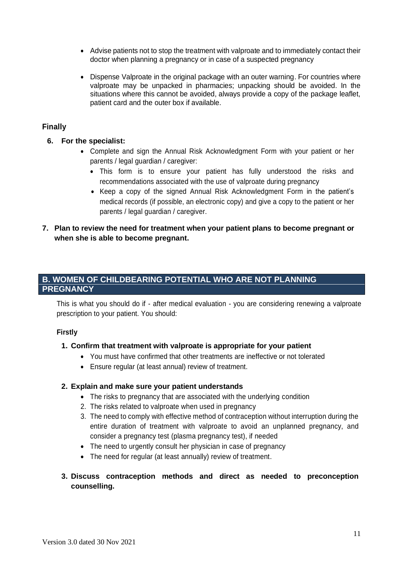- Advise patients not to stop the treatment with valproate and to immediately contact their doctor when planning a pregnancy or in case of a suspected pregnancy
- Dispense Valproate in the original package with an outer warning. For countries where valproate may be unpacked in pharmacies; unpacking should be avoided. In the situations where this cannot be avoided, always provide a copy of the package leaflet, patient card and the outer box if available.

## **Finally**

- **6. For the specialist:** 
	- Complete and sign the Annual Risk Acknowledgment Form with your patient or her parents / legal guardian / caregiver:
		- This form is to ensure your patient has fully understood the risks and recommendations associated with the use of valproate during pregnancy
		- Keep a copy of the signed Annual Risk Acknowledgment Form in the patient's medical records (if possible, an electronic copy) and give a copy to the patient or her parents / legal guardian / caregiver.
- **7. Plan to review the need for treatment when your patient plans to become pregnant or when she is able to become pregnant.**

# **B. WOMEN OF CHILDBEARING POTENTIAL WHO ARE NOT PLANNING PREGNANCY**

This is what you should do if - after medical evaluation - you are considering renewing a valproate prescription to your patient. You should:

#### **Firstly**

#### **1. Confirm that treatment with valproate is appropriate for your patient**

- You must have confirmed that other treatments are ineffective or not tolerated
- Ensure regular (at least annual) review of treatment.

#### **2. Explain and make sure your patient understands**

- The risks to pregnancy that are associated with the underlying condition
- 2. The risks related to valproate when used in pregnancy
- 3. The need to comply with effective method of contraception without interruption during the entire duration of treatment with valproate to avoid an unplanned pregnancy, and consider a pregnancy test (plasma pregnancy test), if needed
- The need to urgently consult her physician in case of pregnancy
- The need for regular (at least annually) review of treatment.
- **3. Discuss contraception methods and direct as needed to preconception counselling.**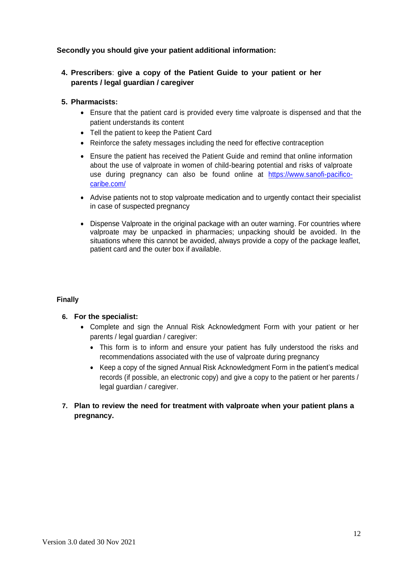## **Secondly you should give your patient additional information:**

**4. Prescribers**: **give a copy of the Patient Guide to your patient or her parents / legal guardian / caregiver**

#### **5. Pharmacists:**

- Ensure that the patient card is provided every time valproate is dispensed and that the patient understands its content
- Tell the patient to keep the Patient Card
- Reinforce the safety messages including the need for effective contraception
- Ensure the patient has received the Patient Guide and remind that online information about the use of valproate in women of child-bearing potential and risks of valproate use during pregnancy can also be found online at [https://www.sanofi-pacifico](https://www.sanofi-pacifico-caribe.com/)[caribe.com/](https://www.sanofi-pacifico-caribe.com/)
- Advise patients not to stop valproate medication and to urgently contact their specialist in case of suspected pregnancy
- Dispense Valproate in the original package with an outer warning. For countries where valproate may be unpacked in pharmacies; unpacking should be avoided. In the situations where this cannot be avoided, always provide a copy of the package leaflet, patient card and the outer box if available.

#### **Finally**

#### **6. For the specialist:**

- Complete and sign the Annual Risk Acknowledgment Form with your patient or her parents / legal guardian / caregiver:
	- This form is to inform and ensure your patient has fully understood the risks and recommendations associated with the use of valproate during pregnancy
	- Keep a copy of the signed Annual Risk Acknowledgment Form in the patient's medical records (if possible, an electronic copy) and give a copy to the patient or her parents / legal guardian / caregiver.

# **7. Plan to review the need for treatment with valproate when your patient plans a pregnancy.**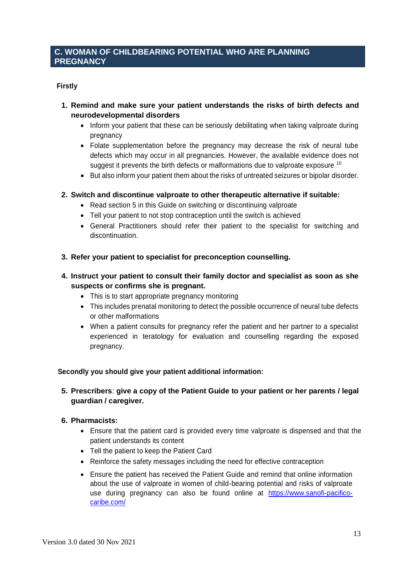# **C. WOMAN OF CHILDBEARING POTENTIAL WHO ARE PLANNING PREGNANCY**

## **Firstly**

- **1. Remind and make sure your patient understands the risks of birth defects and neurodevelopmental disorders** 
	- Inform your patient that these can be seriously debilitating when taking valproate during pregnancy
	- Folate supplementation before the pregnancy may decrease the risk of neural tube defects which may occur in all pregnancies. However, the available evidence does not suggest it prevents the birth defects or malformations due to valproate exposure  $10$
	- But also inform your patient them about the risks of untreated seizures or bipolar disorder.

#### **2. Switch and discontinue valproate to other therapeutic alternative if suitable:**

- Read section 5 in this Guide on switching or discontinuing valproate
- Tell your patient to not stop contraception until the switch is achieved
- General Practitioners should refer their patient to the specialist for switching and discontinuation.
- **3. Refer your patient to specialist for preconception counselling.**
- **4. Instruct your patient to consult their family doctor and specialist as soon as she suspects or confirms she is pregnant.** 
	- This is to start appropriate pregnancy monitoring
	- This includes prenatal monitoring to detect the possible occurrence of neural tube defects or other malformations
	- When a patient consults for pregnancy refer the patient and her partner to a specialist experienced in teratology for evaluation and counselling regarding the exposed pregnancy.

#### **Secondly you should give your patient additional information:**

**5. Prescribers**: **give a copy of the Patient Guide to your patient or her parents / legal guardian / caregiver.**

#### **6. Pharmacists:**

- Ensure that the patient card is provided every time valproate is dispensed and that the patient understands its content
- Tell the patient to keep the Patient Card
- Reinforce the safety messages including the need for effective contraception
- Ensure the patient has received the Patient Guide and remind that online information about the use of valproate in women of child-bearing potential and risks of valproate use during pregnancy can also be found online at [https://www.sanofi-pacifico](https://www.sanofi-pacifico-caribe.com/)[caribe.com/](https://www.sanofi-pacifico-caribe.com/)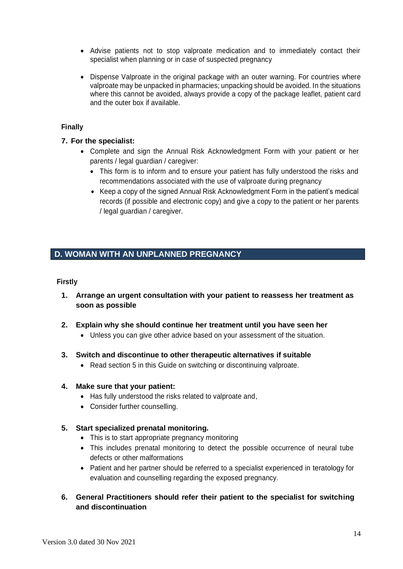- Advise patients not to stop valproate medication and to immediately contact their specialist when planning or in case of suspected pregnancy
- Dispense Valproate in the original package with an outer warning. For countries where valproate may be unpacked in pharmacies; unpacking should be avoided. In the situations where this cannot be avoided, always provide a copy of the package leaflet, patient card and the outer box if available.

#### **Finally**

#### **7. For the specialist:**

- Complete and sign the Annual Risk Acknowledgment Form with your patient or her parents / legal guardian / caregiver:
	- This form is to inform and to ensure your patient has fully understood the risks and recommendations associated with the use of valproate during pregnancy
	- Keep a copy of the signed Annual Risk Acknowledgment Form in the patient's medical records (if possible and electronic copy) and give a copy to the patient or her parents / legal guardian / caregiver.

# **D. WOMAN WITH AN UNPLANNED PREGNANCY**

#### **Firstly**

- **1. Arrange an urgent consultation with your patient to reassess her treatment as soon as possible**
- **2. Explain why she should continue her treatment until you have seen her** 
	- Unless you can give other advice based on your assessment of the situation.
- **3. Switch and discontinue to other therapeutic alternatives if suitable** 
	- Read section 5 in this Guide on switching or discontinuing valproate.

#### **4. Make sure that your patient:**

- Has fully understood the risks related to valproate and,
- Consider further counselling.

#### **5. Start specialized prenatal monitoring.**

- This is to start appropriate pregnancy monitoring
- This includes prenatal monitoring to detect the possible occurrence of neural tube defects or other malformations
- Patient and her partner should be referred to a specialist experienced in teratology for evaluation and counselling regarding the exposed pregnancy.
- **6. General Practitioners should refer their patient to the specialist for switching and discontinuation**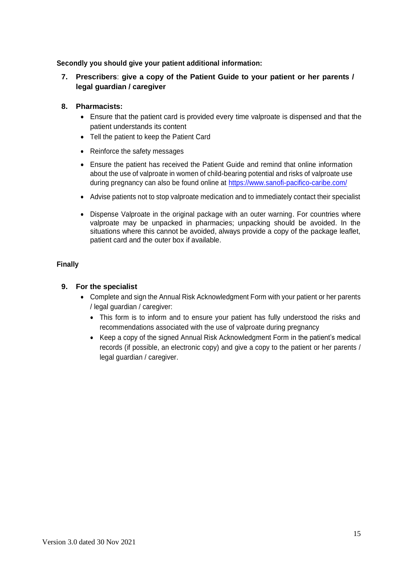**Secondly you should give your patient additional information:**

# **7. Prescribers**: **give a copy of the Patient Guide to your patient or her parents / legal guardian / caregiver**

#### **8. Pharmacists:**

- Ensure that the patient card is provided every time valproate is dispensed and that the patient understands its content
- Tell the patient to keep the Patient Card
- Reinforce the safety messages
- Ensure the patient has received the Patient Guide and remind that online information about the use of valproate in women of child-bearing potential and risks of valproate use during pregnancy can also be found online at<https://www.sanofi-pacifico-caribe.com/>
- Advise patients not to stop valproate medication and to immediately contact their specialist
- Dispense Valproate in the original package with an outer warning. For countries where valproate may be unpacked in pharmacies; unpacking should be avoided. In the situations where this cannot be avoided, always provide a copy of the package leaflet, patient card and the outer box if available.

#### **Finally**

## **9. For the specialist**

- Complete and sign the Annual Risk Acknowledgment Form with your patient or her parents / legal guardian / caregiver:
	- This form is to inform and to ensure your patient has fully understood the risks and recommendations associated with the use of valproate during pregnancy
	- Keep a copy of the signed Annual Risk Acknowledgment Form in the patient's medical records (if possible, an electronic copy) and give a copy to the patient or her parents / legal guardian / caregiver.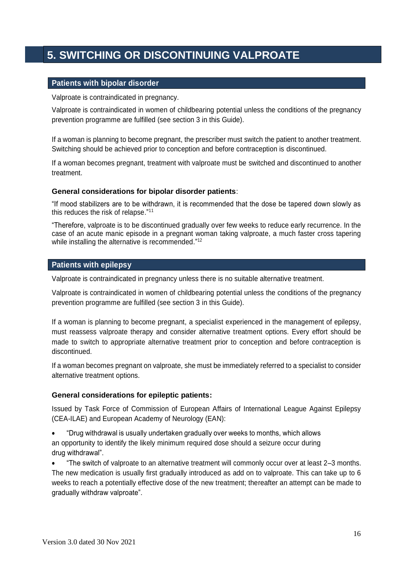# **5. SWITCHING OR DISCONTINUING VALPROATE**

#### **Patients with bipolar disorder**

Valproate is contraindicated in pregnancy.

Valproate is contraindicated in women of childbearing potential unless the conditions of the pregnancy prevention programme are fulfilled (see section 3 in this Guide).

If a woman is planning to become pregnant, the prescriber must switch the patient to another treatment. Switching should be achieved prior to conception and before contraception is discontinued.

If a woman becomes pregnant, treatment with valproate must be switched and discontinued to another treatment.

#### **General considerations for bipolar disorder patients**:

"If mood stabilizers are to be withdrawn, it is recommended that the dose be tapered down slowly as this reduces the risk of relapse."<sup>11</sup>

"Therefore, valproate is to be discontinued gradually over few weeks to reduce early recurrence. In the case of an acute manic episode in a pregnant woman taking valproate, a much faster cross tapering while installing the alternative is recommended."<sup>12</sup>

#### **Patients with epilepsy**

Valproate is contraindicated in pregnancy unless there is no suitable alternative treatment.

Valproate is contraindicated in women of childbearing potential unless the conditions of the pregnancy prevention programme are fulfilled (see section 3 in this Guide).

If a woman is planning to become pregnant, a specialist experienced in the management of epilepsy, must reassess valproate therapy and consider alternative treatment options. Every effort should be made to switch to appropriate alternative treatment prior to conception and before contraception is discontinued.

If a woman becomes pregnant on valproate, she must be immediately referred to a specialist to consider alternative treatment options.

#### **General considerations for epileptic patients:**

Issued by Task Force of Commission of European Affairs of International League Against Epilepsy (CEA-ILAE) and European Academy of Neurology (EAN):

• "Drug withdrawal is usually undertaken gradually over weeks to months, which allows an opportunity to identify the likely minimum required dose should a seizure occur during drug withdrawal".

• "The switch of valproate to an alternative treatment will commonly occur over at least 2–3 months. The new medication is usually first gradually introduced as add on to valproate. This can take up to 6 weeks to reach a potentially effective dose of the new treatment; thereafter an attempt can be made to gradually withdraw valproate".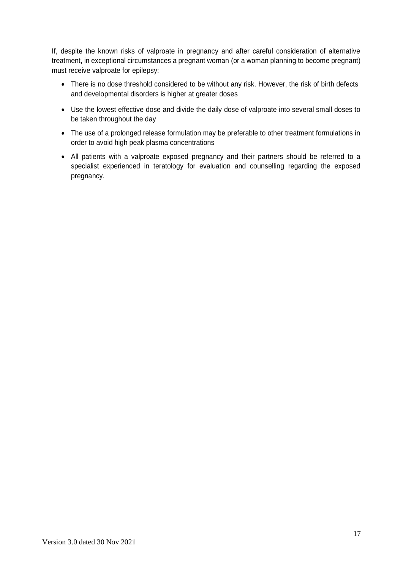If, despite the known risks of valproate in pregnancy and after careful consideration of alternative treatment, in exceptional circumstances a pregnant woman (or a woman planning to become pregnant) must receive valproate for epilepsy:

- There is no dose threshold considered to be without any risk. However, the risk of birth defects and developmental disorders is higher at greater doses
- Use the lowest effective dose and divide the daily dose of valproate into several small doses to be taken throughout the day
- The use of a prolonged release formulation may be preferable to other treatment formulations in order to avoid high peak plasma concentrations
- All patients with a valproate exposed pregnancy and their partners should be referred to a specialist experienced in teratology for evaluation and counselling regarding the exposed pregnancy.